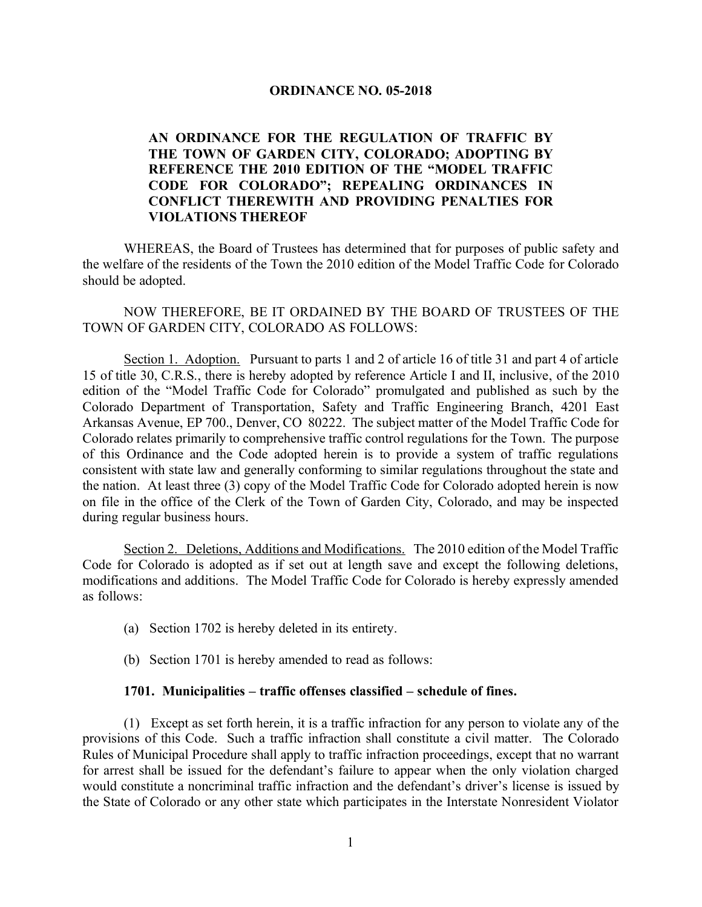## **ORDINANCE NO. 05-2018**

## **AN ORDINANCE FOR THE REGULATION OF TRAFFIC BY THE TOWN OF GARDEN CITY, COLORADO; ADOPTING BY REFERENCE THE 2010 EDITION OF THE "MODEL TRAFFIC CODE FOR COLORADO"; REPEALING ORDINANCES IN CONFLICT THEREWITH AND PROVIDING PENALTIES FOR VIOLATIONS THEREOF**

WHEREAS, the Board of Trustees has determined that for purposes of public safety and the welfare of the residents of the Town the 2010 edition of the Model Traffic Code for Colorado should be adopted.

NOW THEREFORE, BE IT ORDAINED BY THE BOARD OF TRUSTEES OF THE TOWN OF GARDEN CITY, COLORADO AS FOLLOWS:

Section 1. Adoption. Pursuant to parts 1 and 2 of article 16 of title 31 and part 4 of article 15 of title 30, C.R.S., there is hereby adopted by reference Article I and II, inclusive, of the 2010 edition of the "Model Traffic Code for Colorado" promulgated and published as such by the Colorado Department of Transportation, Safety and Traffic Engineering Branch, 4201 East Arkansas Avenue, EP 700., Denver, CO 80222. The subject matter of the Model Traffic Code for Colorado relates primarily to comprehensive traffic control regulations for the Town. The purpose of this Ordinance and the Code adopted herein is to provide a system of traffic regulations consistent with state law and generally conforming to similar regulations throughout the state and the nation. At least three (3) copy of the Model Traffic Code for Colorado adopted herein is now on file in the office of the Clerk of the Town of Garden City, Colorado, and may be inspected during regular business hours.

Section 2. Deletions, Additions and Modifications. The 2010 edition of the Model Traffic Code for Colorado is adopted as if set out at length save and except the following deletions, modifications and additions. The Model Traffic Code for Colorado is hereby expressly amended as follows:

- (a) Section 1702 is hereby deleted in its entirety.
- (b) Section 1701 is hereby amended to read as follows:

## **1701. Municipalities – traffic offenses classified – schedule of fines.**

(1) Except as set forth herein, it is a traffic infraction for any person to violate any of the provisions of this Code. Such a traffic infraction shall constitute a civil matter. The Colorado Rules of Municipal Procedure shall apply to traffic infraction proceedings, except that no warrant for arrest shall be issued for the defendant's failure to appear when the only violation charged would constitute a noncriminal traffic infraction and the defendant's driver's license is issued by the State of Colorado or any other state which participates in the Interstate Nonresident Violator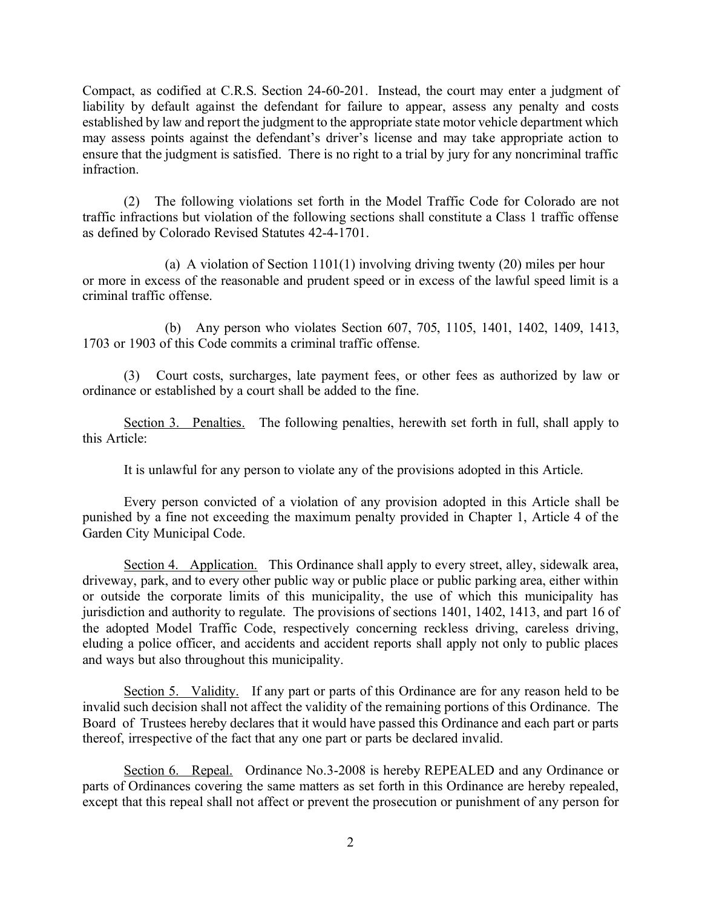Compact, as codified at C.R.S. Section 24-60-201. Instead, the court may enter a judgment of liability by default against the defendant for failure to appear, assess any penalty and costs established by law and report the judgment to the appropriate state motor vehicle department which may assess points against the defendant's driver's license and may take appropriate action to ensure that the judgment is satisfied. There is no right to a trial by jury for any noncriminal traffic infraction.

(2) The following violations set forth in the Model Traffic Code for Colorado are not traffic infractions but violation of the following sections shall constitute a Class 1 traffic offense as defined by Colorado Revised Statutes 42-4-1701.

(a) A violation of Section 1101(1) involving driving twenty (20) miles per hour or more in excess of the reasonable and prudent speed or in excess of the lawful speed limit is a criminal traffic offense.

(b) Any person who violates Section 607, 705, 1105, 1401, 1402, 1409, 1413, 1703 or 1903 of this Code commits a criminal traffic offense.

(3) Court costs, surcharges, late payment fees, or other fees as authorized by law or ordinance or established by a court shall be added to the fine.

Section 3. Penalties. The following penalties, herewith set forth in full, shall apply to this Article:

It is unlawful for any person to violate any of the provisions adopted in this Article.

Every person convicted of a violation of any provision adopted in this Article shall be punished by a fine not exceeding the maximum penalty provided in Chapter 1, Article 4 of the Garden City Municipal Code.

Section 4. Application. This Ordinance shall apply to every street, alley, sidewalk area, driveway, park, and to every other public way or public place or public parking area, either within or outside the corporate limits of this municipality, the use of which this municipality has jurisdiction and authority to regulate. The provisions of sections 1401, 1402, 1413, and part 16 of the adopted Model Traffic Code, respectively concerning reckless driving, careless driving, eluding a police officer, and accidents and accident reports shall apply not only to public places and ways but also throughout this municipality.

Section 5. Validity. If any part or parts of this Ordinance are for any reason held to be invalid such decision shall not affect the validity of the remaining portions of this Ordinance. The Board of Trustees hereby declares that it would have passed this Ordinance and each part or parts thereof, irrespective of the fact that any one part or parts be declared invalid.

Section 6. Repeal. Ordinance No.3-2008 is hereby REPEALED and any Ordinance or parts of Ordinances covering the same matters as set forth in this Ordinance are hereby repealed, except that this repeal shall not affect or prevent the prosecution or punishment of any person for